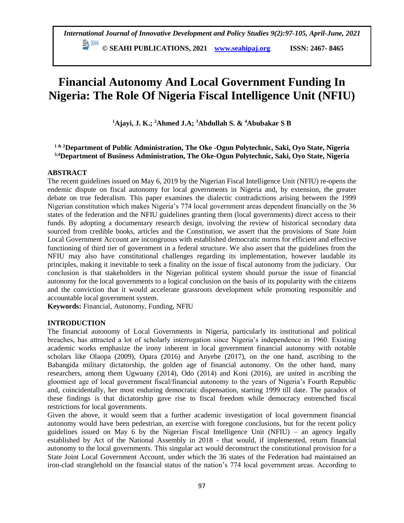## **© SEAHI PUBLICATIONS, 2021 [www.seahipaj.org](http://www.seahipaj.org/) ISSN: 2467- 8465**

# **Financial Autonomy And Local Government Funding In Nigeria: The Role Of Nigeria Fiscal Intelligence Unit (NFIU)**

**<sup>1</sup>Ajayi, J. K.; <sup>2</sup>Ahmed J.A; <sup>3</sup>Abdullah S. & <sup>4</sup>Abubakar S B**

## **1 & 2Department of Public Administration, The Oke -Ogun Polytechnic, Saki, Oyo State, Nigeria 3,4Department of Business Administration, The Oke-Ogun Polytechnic, Saki, Oyo State, Nigeria**

## **ABSTRACT**

The recent guidelines issued on May 6, 2019 by the Nigerian Fiscal Intelligence Unit (NFIU) re-opens the endemic dispute on fiscal autonomy for local governments in Nigeria and, by extension, the greater debate on true federalism. This paper examines the dialectic contradictions arising between the 1999 Nigerian constitution which makes Nigeria's 774 local government areas dependent financially on the 36 states of the federation and the NFIU guidelines granting them (local governments) direct access to their funds. By adopting a documentary research design, involving the review of historical secondary data sourced from credible books, articles and the Constitution, we assert that the provisions of State Joint Local Government Account are incongruous with established democratic norms for efficient and effective functioning of third tier of government in a federal structure. We also assert that the guidelines from the NFIU may also have constitutional challenges regarding its implementation, however laudable its principles, making it inevitable to seek a finality on the issue of fiscal autonomy from the judiciary. Our conclusion is that stakeholders in the Nigerian political system should pursue the issue of financial autonomy for the local governments to a logical conclusion on the basis of its popularity with the citizens and the conviction that it would accelerate grassroots development while promoting responsible and accountable local government system.

**Keywords:** Financial, Autonomy, Funding, NFIU

## **INTRODUCTION**

The financial autonomy of Local Governments in Nigeria, particularly its institutional and political breaches, has attracted a lot of scholarly interrogation since Nigeria's independence in 1960. Existing academic works emphasize the irony inherent in local government financial autonomy with notable scholars like Olaopa (2009), Opara (2016) and Anyebe (2017), on the one hand, ascribing to the Babangida military dictatorship, the golden age of financial autonomy. On the other hand, many researchers, among them Ugwuany (2014), Odo (2014) and Koni (2016), are united in ascribing the gloomiest age of local government fiscal/financial autonomy to the years of Nigeria's Fourth Republic and, coincidentally, her most enduring democratic dispensation, starting 1999 till date. The paradox of these findings is that dictatorship gave rise to fiscal freedom while democracy entrenched fiscal restrictions for local governments.

Given the above, it would seem that a further academic investigation of local government financial autonomy would have been pedestrian, an exercise with foregone conclusions, but for the recent policy guidelines issued on May 6 by the Nigerian Fiscal Intelligence Unit (NFIU) – an agency legally established by Act of the National Assembly in 2018 - that would, if implemented, return financial autonomy to the local governments. This singular act would deconstruct the constitutional provision for a State Joint Local Government Account, under which the 36 states of the Federation had maintained an iron-clad stranglehold on the financial status of the nation's 774 local government areas. According to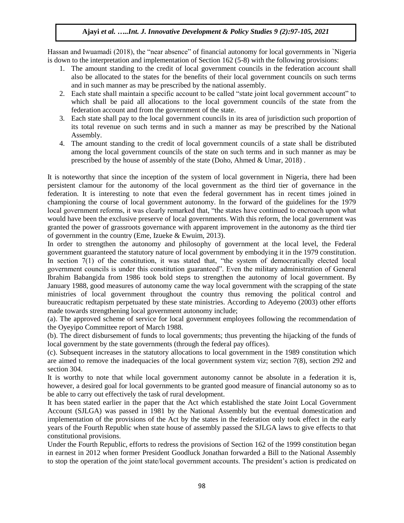Hassan and Iwuamadi (2018), the "near absence" of financial autonomy for local governments in `Nigeria is down to the interpretation and implementation of Section 162 (5-8) with the following provisions:

- 1. The amount standing to the credit of local government councils in the federation account shall also be allocated to the states for the benefits of their local government councils on such terms and in such manner as may be prescribed by the national assembly.
- 2. Each state shall maintain a specific account to be called "state joint local government account" to which shall be paid all allocations to the local government councils of the state from the federation account and from the government of the state.
- 3. Each state shall pay to the local government councils in its area of jurisdiction such proportion of its total revenue on such terms and in such a manner as may be prescribed by the National Assembly.
- 4. The amount standing to the credit of local government councils of a state shall be distributed among the local government councils of the state on such terms and in such manner as may be prescribed by the house of assembly of the state (Doho, Ahmed & Umar, 2018) .

It is noteworthy that since the inception of the system of local government in Nigeria, there had been persistent clamour for the autonomy of the local government as the third tier of governance in the federation. It is interesting to note that even the federal government has in recent times joined in championing the course of local government autonomy. In the forward of the guidelines for the 1979 local government reforms, it was clearly remarked that, "the states have continued to encroach upon what would have been the exclusive preserve of local governments. With this reform, the local government was granted the power of grassroots governance with apparent improvement in the autonomy as the third tier of government in the country (Eme, Izueke & Ewuim, 2013).

In order to strengthen the autonomy and philosophy of government at the local level, the Federal government guaranteed the statutory nature of local government by embodying it in the 1979 constitution. In section 7(1) of the constitution, it was stated that, "the system of democratically elected local government councils is under this constitution guaranteed". Even the military administration of General Ibrahim Babangida from 1986 took bold steps to strengthen the autonomy of local government. By January 1988, good measures of autonomy came the way local government with the scrapping of the state ministries of local government throughout the country thus removing the political control and bureaucratic redtapism perpetuated by these state ministries. According to Adeyemo (2003) other efforts made towards strengthening local government autonomy include;

(a). The approved scheme of service for local government employees following the recommendation of the Oyeyipo Committee report of March 1988.

(b). The direct disbursement of funds to local governments; thus preventing the hijacking of the funds of local government by the state governments (through the federal pay offices).

(c). Subsequent increases in the statutory allocations to local government in the 1989 constitution which are aimed to remove the inadequacies of the local government system viz; section 7(8), section 292 and section 304.

It is worthy to note that while local government autonomy cannot be absolute in a federation it is, however, a desired goal for local governments to be granted good measure of financial autonomy so as to be able to carry out effectively the task of rural development.

It has been stated earlier in the paper that the Act which established the state Joint Local Government Account (SJLGA) was passed in 1981 by the National Assembly but the eventual domestication and implementation of the provisions of the Act by the states in the federation only took effect in the early years of the Fourth Republic when state house of assembly passed the SJLGA laws to give effects to that constitutional provisions.

Under the Fourth Republic, efforts to redress the provisions of Section 162 of the 1999 constitution began in earnest in 2012 when former President Goodluck Jonathan forwarded a Bill to the National Assembly to stop the operation of the joint state/local government accounts. The president's action is predicated on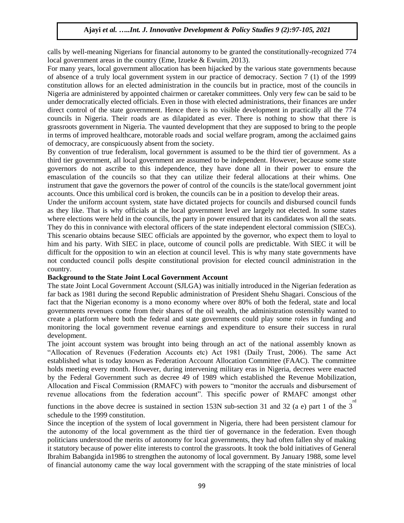calls by well-meaning Nigerians for financial autonomy to be granted the constitutionally-recognized 774 local government areas in the country (Eme, Izueke & Ewuim, 2013).

For many years, local government allocation has been hijacked by the various state governments because of absence of a truly local government system in our practice of democracy. Section 7 (1) of the 1999 constitution allows for an elected administration in the councils but in practice, most of the councils in Nigeria are administered by appointed chairmen or caretaker committees. Only very few can be said to be under democratically elected officials. Even in those with elected administrations, their finances are under direct control of the state government. Hence there is no visible development in practically all the 774 councils in Nigeria. Their roads are as dilapidated as ever. There is nothing to show that there is grassroots government in Nigeria. The vaunted development that they are supposed to bring to the people in terms of improved healthcare, motorable roads and social welfare program, among the acclaimed gains of democracy, are conspicuously absent from the society.

By convention of true federalism, local government is assumed to be the third tier of government. As a third tier government, all local government are assumed to be independent. However, because some state governors do not ascribe to this independence, they have done all in their power to ensure the emasculation of the councils so that they can utilize their federal allocations at their whims. One instrument that gave the governors the power of control of the councils is the state/local government joint accounts. Once this umbilical cord is broken, the councils can be in a position to develop their areas.

Under the uniform account system, state have dictated projects for councils and disbursed council funds as they like. That is why officials at the local government level are largely not elected. In some states where elections were held in the councils, the party in power ensured that its candidates won all the seats. They do this in connivance with electoral officers of the state independent electoral commission (SIECs). This scenario obtains because SIEC officials are appointed by the governor, who expect them to loyal to him and his party. With SIEC in place, outcome of council polls are predictable. With SIEC it will be difficult for the opposition to win an election at council level. This is why many state governments have not conducted council polls despite constitutional provision for elected council administration in the country.

#### **Background to the State Joint Local Government Account**

The state Joint Local Government Account (SJLGA) was initially introduced in the Nigerian federation as far back as 1981 during the second Republic administration of President Shehu Shagari. Conscious of the fact that the Nigerian economy is a mono economy where over 80% of both the federal, state and local governments revenues come from their shares of the oil wealth, the administration ostensibly wanted to create a platform where both the federal and state governments could play some roles in funding and monitoring the local government revenue earnings and expenditure to ensure their success in rural development.

The joint account system was brought into being through an act of the national assembly known as "Allocation of Revenues (Federation Accounts etc) Act 1981 (Daily Trust, 2006). The same Act established what is today known as Federation Account Allocation Committee (FAAC). The committee holds meeting every month. However, during intervening military eras in Nigeria, decrees were enacted by the Federal Government such as decree 49 of 1989 which established the Revenue Mobilization, Allocation and Fiscal Commission (RMAFC) with powers to "monitor the accruals and disbursement of revenue allocations from the federation account". This specific power of RMAFC amongst other

functions in the above decree is sustained in section 153N sub-section 31 and 32 (a e) part 1 of the 3 rd schedule to the 1999 constitution.

Since the inception of the system of local government in Nigeria, there had been persistent clamour for the autonomy of the local government as the third tier of governance in the federation. Even though politicians understood the merits of autonomy for local governments, they had often fallen shy of making it statutory because of power elite interests to control the grassroots. It took the bold initiatives of General Ibrahim Babangida in1986 to strengthen the autonomy of local government. By January 1988, some level of financial autonomy came the way local government with the scrapping of the state ministries of local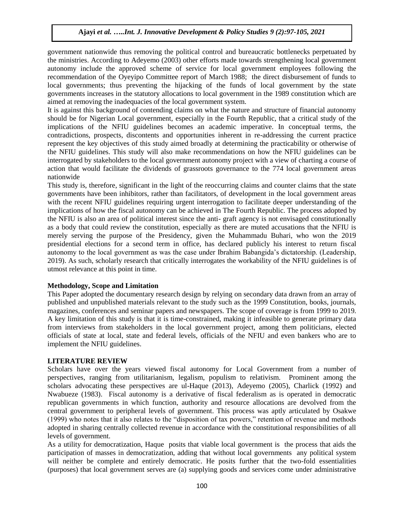government nationwide thus removing the political control and bureaucratic bottlenecks perpetuated by the ministries. According to Adeyemo (2003) other efforts made towards strengthening local government autonomy include the approved scheme of service for local government employees following the recommendation of the Oyeyipo Committee report of March 1988; the direct disbursement of funds to local governments; thus preventing the hijacking of the funds of local government by the state governments increases in the statutory allocations to local government in the 1989 constitution which are aimed at removing the inadequacies of the local government system.

It is against this background of contending claims on what the nature and structure of financial autonomy should be for Nigerian Local government, especially in the Fourth Republic, that a critical study of the implications of the NFIU guidelines becomes an academic imperative. In conceptual terms, the contradictions, prospects, discontents and opportunities inherent in re-addressing the current practice represent the key objectives of this study aimed broadly at determining the practicability or otherwise of the NFIU guidelines. This study will also make recommendations on how the NFIU guidelines can be interrogated by stakeholders to the local government autonomy project with a view of charting a course of action that would facilitate the dividends of grassroots governance to the 774 local government areas nationwide

This study is, therefore, significant in the light of the reoccurring claims and counter claims that the state governments have been inhibitors, rather than facilitators, of development in the local government areas with the recent NFIU guidelines requiring urgent interrogation to facilitate deeper understanding of the implications of how the fiscal autonomy can be achieved in The Fourth Republic. The process adopted by the NFIU is also an area of political interest since the anti- graft agency is not envisaged constitutionally as a body that could review the constitution, especially as there are muted accusations that the NFIU is merely serving the purpose of the Presidency, given the Muhammadu Buhari, who won the 2019 presidential elections for a second term in office, has declared publicly his interest to return fiscal autonomy to the local government as was the case under Ibrahim Babangida's dictatorship. (Leadership, 2019). As such, scholarly research that critically interrogates the workability of the NFIU guidelines is of utmost relevance at this point in time.

#### **Methodology, Scope and Limitation**

This Paper adopted the documentary research design by relying on secondary data drawn from an array of published and unpublished materials relevant to the study such as the 1999 Constitution, books, journals, magazines, conferences and seminar papers and newspapers. The scope of coverage is from 1999 to 2019. A key limitation of this study is that it is time-constrained, making it infeasible to generate primary data from interviews from stakeholders in the local government project, among them politicians, elected officials of state at local, state and federal levels, officials of the NFIU and even bankers who are to implement the NFIU guidelines.

## **LITERATURE REVIEW**

Scholars have over the years viewed fiscal autonomy for Local Government from a number of perspectives, ranging from utilitarianism, legalism, populism to relativism. Prominent among the scholars advocating these perspectives are ul-Haque (2013), Adeyemo (2005), Charlick (1992) and Nwabueze (1983). Fiscal autonomy is a derivative of fiscal federalism as is operated in democratic republican governments in which function, authority and resource allocations are devolved from the central government to peripheral levels of government. This process was aptly articulated by Osakwe (1999) who notes that it also relates to the "disposition of tax powers," retention of revenue and methods adopted in sharing centrally collected revenue in accordance with the constitutional responsibilities of all levels of government.

As a utility for democratization, Haque posits that viable local government is the process that aids the participation of masses in democratization, adding that without local governments any political system will neither be complete and entirely democratic. He posits further that the two-fold essentialities (purposes) that local government serves are (a) supplying goods and services come under administrative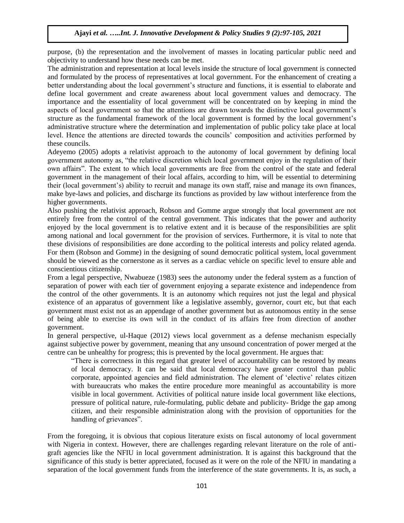purpose, (b) the representation and the involvement of masses in locating particular public need and objectivity to understand how these needs can be met.

The administration and representation at local levels inside the structure of local government is connected and formulated by the process of representatives at local government. For the enhancement of creating a better understanding about the local government's structure and functions, it is essential to elaborate and define local government and create awareness about local government values and democracy. The importance and the essentiality of local government will be concentrated on by keeping in mind the aspects of local government so that the attentions are drawn towards the distinctive local government's structure as the fundamental framework of the local government is formed by the local government's administrative structure where the determination and implementation of public policy take place at local level. Hence the attentions are directed towards the councils' composition and activities performed by these councils.

Adeyemo (2005) adopts a relativist approach to the autonomy of local government by defining local government autonomy as, "the relative discretion which local government enjoy in the regulation of their own affairs". The extent to which local governments are free from the control of the state and federal government in the management of their local affairs, according to him, will be essential to determining their (local government's) ability to recruit and manage its own staff, raise and manage its own finances, make bye-laws and policies, and discharge its functions as provided by law without interference from the higher governments.

Also pushing the relativist approach, Robson and Gomme argue strongly that local government are not entirely free from the control of the central government. This indicates that the power and authority enjoyed by the local government is to relative extent and it is because of the responsibilities are split among national and local government for the provision of services. Furthermore, it is vital to note that these divisions of responsibilities are done according to the political interests and policy related agenda. For them (Robson and Gomme) in the designing of sound democratic political system, local government should be viewed as the cornerstone as it serves as a cardiac vehicle on specific level to ensure able and conscientious citizenship.

From a legal perspective, Nwabueze (1983) sees the autonomy under the federal system as a function of separation of power with each tier of government enjoying a separate existence and independence from the control of the other governments. It is an autonomy which requires not just the legal and physical existence of an apparatus of government like a legislative assembly, governor, court etc, but that each government must exist not as an appendage of another government but as autonomous entity in the sense of being able to exercise its own will in the conduct of its affairs free from direction of another government.

In general perspective, ul-Haque (2012) views local government as a defense mechanism especially against subjective power by government, meaning that any unsound concentration of power merged at the centre can be unhealthy for progress; this is prevented by the local government. He argues that:

"There is correctness in this regard that greater level of accountability can be restored by means of local democracy. It can be said that local democracy have greater control than public corporate, appointed agencies and field administration. The element of 'elective' relates citizen with bureaucrats who makes the entire procedure more meaningful as accountability is more visible in local government. Activities of political nature inside local government like elections, pressure of political nature, rule-formulating, public debate and publicity- Bridge the gap among citizen, and their responsible administration along with the provision of opportunities for the handling of grievances".

From the foregoing, it is obvious that copious literature exists on fiscal autonomy of local government with Nigeria in context. However, there are challenges regarding relevant literature on the role of antigraft agencies like the NFIU in local government administration. It is against this background that the significance of this study is better appreciated, focused as it were on the role of the NFIU in mandating a separation of the local government funds from the interference of the state governments. It is, as such, a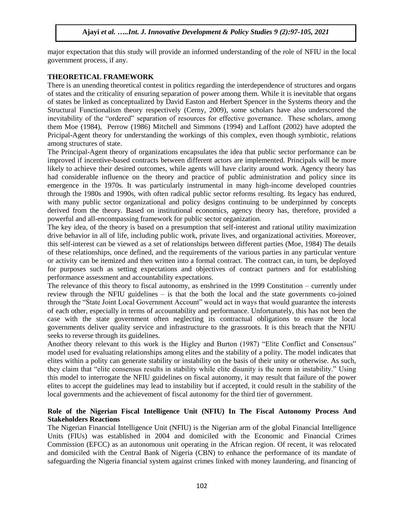major expectation that this study will provide an informed understanding of the role of NFIU in the local government process, if any.

#### **THEORETICAL FRAMEWORK**

There is an unending theoretical contest in politics regarding the interdependence of structures and organs of states and the criticality of ensuring separation of power among them. While it is inevitable that organs of states be linked as conceptualized by David Easton and Herbert Spencer in the Systems theory and the Structural Functionalism theory respectively (Cerny, 2009), some scholars have also underscored the inevitability of the "ordered" separation of resources for effective governance. These scholars, among them Moe (1984), Perrow (1986) Mitchell and Simmons (1994) and Laffont (2002) have adopted the Pricipal-Agent theory for understanding the workings of this complex, even though symbiotic, relations among structures of state.

The Principal-Agent theory of organizations encapsulates the idea that public sector performance can be improved if incentive-based contracts between different actors are implemented. Principals will be more likely to achieve their desired outcomes, while agents will have clarity around work. Agency theory has had considerable influence on the theory and practice of public administration and policy since its emergence in the 1970s. It was particularly instrumental in many high-income developed countries through the 1980s and 1990s, with often radical public sector reforms resulting. Its legacy has endured, with many public sector organizational and policy designs continuing to be underpinned by concepts derived from the theory. Based on institutional economics, agency theory has, therefore, provided a powerful and all-encompassing framework for public sector organization.

The key idea, of the theory is based on a presumption that self-interest and rational utility maximization drive behavior in all of life, including public work, private lives, and organizational activities. Moreover, this self-interest can be viewed as a set of relationships between different parties (Moe, 1984) The details of these relationships, once defined, and the requirements of the various parties in any particular venture or activity can be itemized and then written into a formal contract. The contract can, in turn, be deployed for purposes such as setting expectations and objectives of contract partners and for establishing performance assessment and accountability expectations.

The relevance of this theory to fiscal autonomy, as enshrined in the 1999 Constitution – currently under review through the NFIU guidelines – is that the both the local and the state governments co-joined through the "State Joint Local Government Account" would act in ways that would guarantee the interests of each other, especially in terms of accountability and performance. Unfortunately, this has not been the case with the state government often neglecting its contractual obligations to ensure the local governments deliver quality service and infrastructure to the grassroots. It is this breach that the NFIU seeks to reverse through its guidelines.

Another theory relevant to this work is the Higley and Burton (1987) "Elite Conflict and Consensus" model used for evaluating relationships among elites and the stability of a polity. The model indicates that elites within a polity can generate stability or instability on the basis of their unity or otherwise. As such, they claim that "elite consensus results in stability while elite disunity is the norm in instability." Using this model to interrogate the NFIU guidelines on fiscal autonomy, it may result that failure of the power elites to accept the guidelines may lead to instability but if accepted, it could result in the stability of the local governments and the achievement of fiscal autonomy for the third tier of government.

## **Role of the Nigerian Fiscal Intelligence Unit (NFIU) In The Fiscal Autonomy Process And Stakeholders Reactions**

The Nigerian Financial Intelligence Unit (NFIU) is the Nigerian arm of the global Financial Intelligence Units (FIUs) was established in 2004 and domiciled with the Economic and Financial Crimes Commission (EFCC) as an autonomous unit operating in the African region. Of recent, it was relocated and domiciled with the Central Bank of Nigeria (CBN) to enhance the performance of its mandate of safeguarding the Nigeria financial system against crimes linked with money laundering, and financing of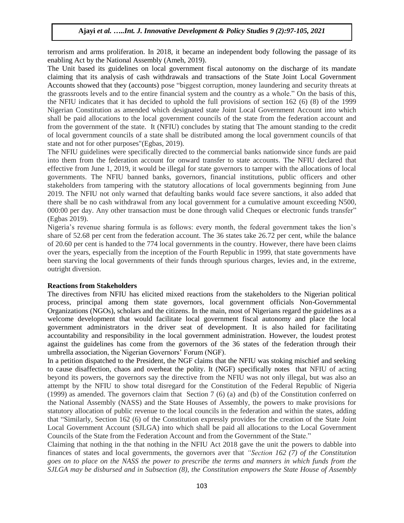terrorism and arms proliferation. In 2018, it became an independent body following the passage of its enabling Act by the National Assembly (Ameh, 2019).

The Unit based its guidelines on local government fiscal autonomy on the discharge of its mandate claiming that its analysis of cash withdrawals and transactions of the State Joint Local Government Accounts showed that they (accounts) pose "biggest corruption, money laundering and security threats at the grassroots levels and to the entire financial system and the country as a whole." On the basis of this, the NFIU indicates that it has decided to uphold the full provisions of section 162 (6) (8) of the 1999 Nigerian Constitution as amended which designated state Joint Local Government Account into which shall be paid allocations to the local government councils of the state from the federation account and from the government of the state. It (NFIU) concludes by stating that The amount standing to the credit of local government councils of a state shall be distributed among the local government councils of that state and not for other purposes"(Egbas, 2019).

The NFIU guidelines were specifically directed to the commercial banks nationwide since funds are paid into them from the federation account for onward transfer to state accounts. The NFIU declared that effective from June 1, 2019, it would be illegal for state governors to tamper with the allocations of local governments. The NFIU banned banks, governors, financial institutions, public officers and other stakeholders from tampering with the statutory allocations of local governments beginning from June 2019. The NFIU not only warned that defaulting banks would face severe sanctions, it also added that there shall be no cash withdrawal from any local government for a cumulative amount exceeding N500, 000:00 per day. Any other transaction must be done through valid Cheques or electronic funds transfer" (Egbas 2019).

Nigeria's revenue sharing formula is as follows: every month, the federal government takes the lion's share of 52.68 per cent from the federation account. The 36 states take 26.72 per cent, while the balance of 20.60 per cent is handed to the 774 local governments in the country. However, there have been claims over the years, especially from the inception of the Fourth Republic in 1999, that state governments have been starving the local governments of their funds through spurious charges, levies and, in the extreme, outright diversion.

#### **Reactions from Stakeholders**

The directives from NFIU has elicited mixed reactions from the stakeholders to the Nigerian political process, principal among them state governors, local government officials Non-Governmental Organizations (NGOs), scholars and the citizens. In the main, most of Nigerians regard the guidelines as a welcome development that would facilitate local government fiscal autonomy and place the local government administrators in the driver seat of development. It is also hailed for facilitating accountability and responsibility in the local government administration. However, the loudest protest against the guidelines has come from the governors of the 36 states of the federation through their umbrella association, the Nigerian Governors' Forum (NGF).

In a petition dispatched to the President, the NGF claims that the NFIU was stoking mischief and seeking to cause disaffection, chaos and overheat the polity. It (NGF) specifically notes that NFIU of acting beyond its powers, the governors say the directive from the NFIU was not only illegal, but was also an attempt by the NFIU to show total disregard for the Constitution of the Federal Republic of Nigeria (1999) as amended. The governors claim that Section 7 (6) (a) and (b) of the Constitution conferred on the National Assembly (NASS) and the State Houses of Assembly, the powers to make provisions for statutory allocation of public revenue to the local councils in the federation and within the states, adding that "Similarly, Section 162 (6) of the Constitution expressly provides for the creation of the State Joint Local Government Account (SJLGA) into which shall be paid all allocations to the Local Government Councils of the State from the Federation Account and from the Government of the State."

Claiming that nothing in the that nothing in the NFIU Act 2018 gave the unit the powers to dabble into finances of states and local governments, the governors aver that *"Section 162 (7) of the Constitution* goes on to place on the NASS the power to prescribe the terms and manners in which funds from the *SJLGA may be disbursed and in Subsection (8), the Constitution empowers the State House of Assembly*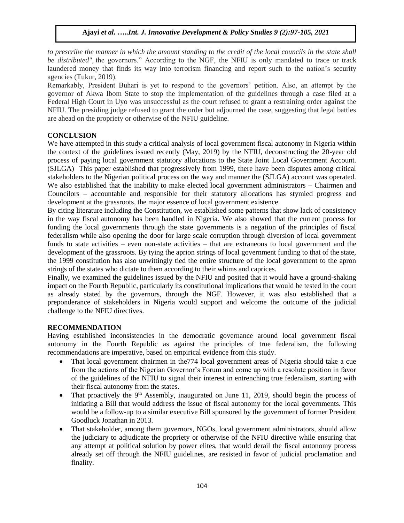to prescribe the manner in which the amount standing to the credit of the local councils in the state shall *be distributed",* the governors." According to the NGF, the NFIU is only mandated to trace or track laundered money that finds its way into terrorism financing and report such to the nation's security agencies (Tukur, 2019).

Remarkably, President Buhari is yet to respond to the governors' petition. Also, an attempt by the governor of Akwa Ibom State to stop the implementation of the guidelines through a case filed at a Federal High Court in Uyo was unsuccessful as the court refused to grant a restraining order against the NFIU. The presiding judge refused to grant the order but adjourned the case, suggesting that legal battles are ahead on the propriety or otherwise of the NFIU guideline.

## **CONCLUSION**

We have attempted in this study a critical analysis of local government fiscal autonomy in Nigeria within the context of the guidelines issued recently (May, 2019) by the NFIU, deconstructing the 20-year old process of paying local government statutory allocations to the State Joint Local Government Account. (SJLGA) This paper established that progressively from 1999, there have been disputes among critical stakeholders to the Nigerian political process on the way and manner the (SJLGA) account was operated. We also established that the inability to make elected local government administrators – Chairmen and Councilors – accountable and responsible for their statutory allocations has stymied progress and development at the grassroots, the major essence of local government existence.

By citing literature including the Constitution, we established some patterns that show lack of consistency in the way fiscal autonomy has been handled in Nigeria. We also showed that the current process for funding the local governments through the state governments is a negation of the principles of fiscal federalism while also opening the door for large scale corruption through diversion of local government funds to state activities – even non-state activities – that are extraneous to local government and the development of the grassroots. By tying the aprion strings of local government funding to that of the state, the 1999 constitution has also unwittingly tied the entire structure of the local government to the apron strings of the states who dictate to them according to their whims and caprices.

Finally, we examined the guidelines issued by the NFIU and posited that it would have a ground-shaking impact on the Fourth Republic, particularly its constitutional implications that would be tested in the court as already stated by the governors, through the NGF. However, it was also established that a preponderance of stakeholders in Nigeria would support and welcome the outcome of the judicial challenge to the NFIU directives.

## **RECOMMENDATION**

Having established inconsistencies in the democratic governance around local government fiscal autonomy in the Fourth Republic as against the principles of true federalism, the following recommendations are imperative, based on empirical evidence from this study.

- That local government chairmen in the774 local government areas of Nigeria should take a cue from the actions of the Nigerian Governor's Forum and come up with a resolute position in favor of the guidelines of the NFIU to signal their interest in entrenching true federalism, starting with their fiscal autonomy from the states.
- That proactively the  $9<sup>th</sup>$  Assembly, inaugurated on June 11, 2019, should begin the process of initiating a Bill that would address the issue of fiscal autonomy for the local governments. This would be a follow-up to a similar executive Bill sponsored by the government of former President Goodluck Jonathan in 2013.
- That stakeholder, among them governors, NGOs, local government administrators, should allow the judiciary to adjudicate the propriety or otherwise of the NFIU directive while ensuring that any attempt at political solution by power elites, that would derail the fiscal autonomy process already set off through the NFIU guidelines, are resisted in favor of judicial proclamation and finality.